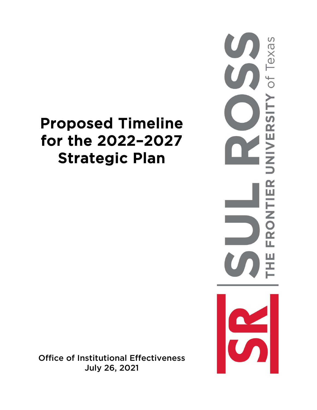# Proposed Timeline for the 2022–2027 Strategic Plan

of Texas NIVERSITY FRONTIER Ш

Office of Institutional Effectiveness July 26, 2021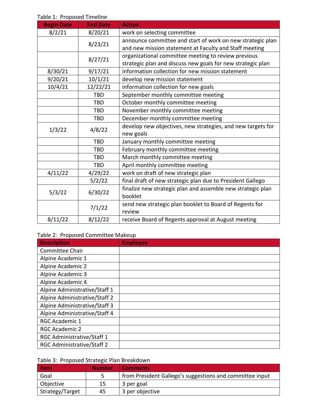| <b>Begin Date</b> | <b>End Date</b> | <b>Action</b>                                               |  |  |  |
|-------------------|-----------------|-------------------------------------------------------------|--|--|--|
| 8/2/21            | 8/20/21         | work on selecting committee                                 |  |  |  |
|                   |                 | announce committee and start of work on new strategic plan  |  |  |  |
|                   | 8/23/21         | and new mission statement at Faculty and Staff meeting      |  |  |  |
|                   |                 | organizational committee meeting to review previous         |  |  |  |
|                   | 8/27/21         | strategic plan and discuss new goals for new strategic plan |  |  |  |
| 8/30/21           | 9/17/21         | information collection for new mission statement            |  |  |  |
| 9/20/21           | 10/1/21         | develop new mission statement                               |  |  |  |
| 10/4/21           | 12/22/21        | information collection for new goals                        |  |  |  |
|                   | <b>TBD</b>      | September monthly committee meeting                         |  |  |  |
|                   | <b>TBD</b>      | October monthly committee meeting                           |  |  |  |
|                   | <b>TBD</b>      | November monthly committee meeting                          |  |  |  |
|                   | <b>TBD</b>      | December monthly committee meeting                          |  |  |  |
|                   |                 | develop new objectives, new strategies, and new targets for |  |  |  |
| 1/3/22            | 4/8/22          | new goals                                                   |  |  |  |
|                   | <b>TBD</b>      | January monthly committee meeting                           |  |  |  |
|                   | <b>TBD</b>      | February monthly committee meeting                          |  |  |  |
|                   | <b>TBD</b>      | March monthly committee meeting                             |  |  |  |
|                   | <b>TBD</b>      | April monthly committee meeting                             |  |  |  |
| 4/11/22           | 4/29/22         | work on draft of new strategic plan                         |  |  |  |
|                   | 5/2/22          | final draft of new strategic plan due to President Gallego  |  |  |  |
|                   |                 | finalize new strategic plan and assemble new strategic plan |  |  |  |
| 5/3/22            | 6/30/22         | booklet                                                     |  |  |  |
|                   |                 | send new strategic plan booklet to Board of Regents for     |  |  |  |
|                   | 7/1/22          | review                                                      |  |  |  |
| 8/11/22           | 8/12/22         | receive Board of Regents approval at August meeting         |  |  |  |

Table 1: Proposed Timeline

## Table 2: Proposed Committee Makeup

| <b>Description</b>            | <b>Employee</b> |
|-------------------------------|-----------------|
| <b>Committee Chair</b>        |                 |
| Alpine Academic 1             |                 |
| Alpine Academic 2             |                 |
| Alpine Academic 3             |                 |
| Alpine Academic 4             |                 |
| Alpine Administrative/Staff 1 |                 |
| Alpine Administrative/Staff 2 |                 |
| Alpine Administrative/Staff 3 |                 |
| Alpine Administrative/Staff 4 |                 |
| <b>RGC Academic 1</b>         |                 |
| <b>RGC Academic 2</b>         |                 |
| RGC Administrative/Staff 1    |                 |
| RGC Administrative/Staff 2    |                 |

# Table 3: Proposed Strategic Plan Breakdown

| <b>Item</b>     | <b>Number</b> | <b>Comments</b>                                          |
|-----------------|---------------|----------------------------------------------------------|
| Goal            |               | from President Gallego's suggestions and committee input |
| Objective       | 15            | 3 per goal                                               |
| Strategy/Target | 45            | 3 per objective                                          |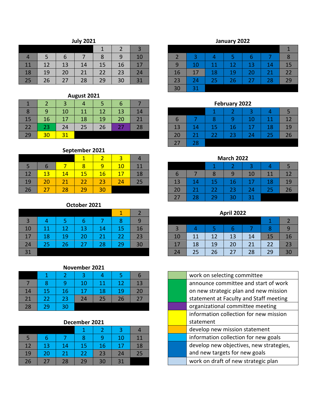## **July 2021**

|    |    | 6  |    | 8  | 9  | 10 |
|----|----|----|----|----|----|----|
| 11 | 12 | 13 | 14 | 15 | 16 | 17 |
| 18 | 19 | 20 | 21 | 22 | 23 | 24 |
| 25 | 26 | 27 | 28 | 29 | 30 | 31 |

| August 2021 |    |    |    |    |    |    |  |  |  |  |  |
|-------------|----|----|----|----|----|----|--|--|--|--|--|
|             |    | 3  |    | 5  | b  |    |  |  |  |  |  |
| 8           | 9  | 10 | 11 | 12 | 13 | 14 |  |  |  |  |  |
| 15          | 16 | 17 | 18 | 19 | 20 | 21 |  |  |  |  |  |
| 22          | 23 | 24 | 25 | 26 | 27 | 28 |  |  |  |  |  |
| 29          | 20 | 31 |    |    |    |    |  |  |  |  |  |

## **September 2021**

|             |    |    |    |    | З  |    |
|-------------|----|----|----|----|----|----|
| $\mathbf b$ | b  |    | 8  |    | 10 | 11 |
| 12          | 13 | 14 | 15 | 16 | 17 | 18 |
| 19          | 20 | 21 | 22 | 23 | 24 | 25 |
| 26          | 27 | 28 | 29 | 30 |    |    |

### **October 2021**

| 3  |    | 5  |    |    | 8  |    |
|----|----|----|----|----|----|----|
| 10 | 11 | 12 | 13 | 14 | 15 | 16 |
| 17 | 18 | 19 | 20 | 21 | 22 | 23 |
| 24 | 25 | 26 | 27 | 28 | 29 | 30 |
| 31 |    |    |    |    |    |    |

#### **November 2021**

|    |                 |    | 10 | 11 | 12 | 13 |
|----|-----------------|----|----|----|----|----|
| 14 | 15              | 16 | 17 | 18 | 19 | 20 |
| 21 | 22              | 23 | 24 | 25 | 26 | 27 |
| 28 | 29 <sub>1</sub> | 30 |    |    |    |    |

## **December 2021**

|    |    |    |    |    | 10 | 11 |
|----|----|----|----|----|----|----|
| 12 | 13 | 14 | 15 | 16 | 17 | 18 |
| 19 | 20 | 21 | 22 | 23 | 24 | 25 |
| 26 | 27 | 28 | 29 | 30 | 31 |    |

# **January 2022**

|    | 3  |    |    | 6  |    |    |
|----|----|----|----|----|----|----|
| 9  | 10 | 11 | 12 | 13 | 14 | 15 |
| 16 | 17 | 18 | 19 | 20 | 21 | 22 |
| 23 | 24 | 25 | 26 | 27 | 28 | 29 |
| 30 | 31 |    |    |    |    |    |

| February 2022 |    |    |    |    |    |    |  |  |  |
|---------------|----|----|----|----|----|----|--|--|--|
|               |    |    |    |    |    |    |  |  |  |
| h             |    |    |    | 10 | 11 | 12 |  |  |  |
| 13            | 14 | 15 | 16 | 17 | 18 | 19 |  |  |  |
| 20            | 21 | 22 | 23 | 24 | 25 | 26 |  |  |  |
| 27            | 28 |    |    |    |    |    |  |  |  |

| <b>March 2022</b> |    |    |    |    |    |    |  |  |  |  |
|-------------------|----|----|----|----|----|----|--|--|--|--|
| 3                 |    |    |    |    |    |    |  |  |  |  |
| n                 |    | 8  |    | 10 | 11 | 12 |  |  |  |  |
| 13                | 14 | 15 | 16 | 17 | 18 | 19 |  |  |  |  |
| 20                | 21 | 22 | 23 | 24 | 25 | 26 |  |  |  |  |
| 27                | 28 | 29 | 30 | 31 |    |    |  |  |  |  |

## **April 2022**

| $\overline{3}$ |    |    |    |    | 8  | q  |
|----------------|----|----|----|----|----|----|
| 10             | 11 | 12 | 13 | 14 | 15 | 16 |
| 17             | 18 | 19 | 20 | 21 | 22 | 23 |
| 24             | 25 | 26 | 27 | 28 | 29 | 30 |

| work on selecting committee             |
|-----------------------------------------|
| announce committee and start of work    |
| on new strategic plan and new mission   |
| statement at Faculty and Staff meeting  |
| organizational committee meeting        |
| information collection for new mission  |
| statement                               |
| develop new mission statement           |
| information collection for new goals    |
| develop new objectives, new strategies, |
| and new targets for new goals           |
| work on draft of new strategic plan     |